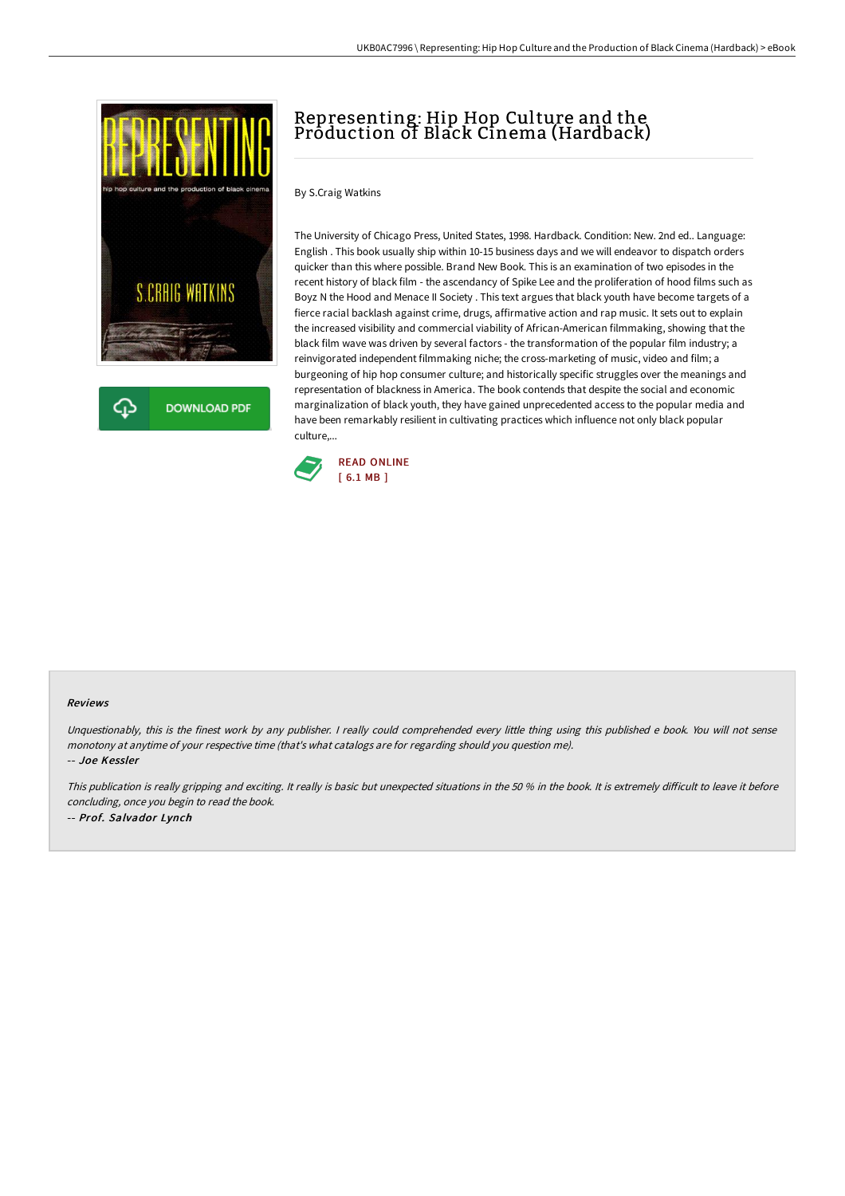

**DOWNLOAD PDF** 

## Representing: Hip Hop Culture and the Production of Black Cinema (Hardback)

By S.Craig Watkins

The University of Chicago Press, United States, 1998. Hardback. Condition: New. 2nd ed.. Language: English . This book usually ship within 10-15 business days and we will endeavor to dispatch orders quicker than this where possible. Brand New Book. This is an examination of two episodes in the recent history of black film - the ascendancy of Spike Lee and the proliferation of hood films such as Boyz N the Hood and Menace II Society . This text argues that black youth have become targets of a fierce racial backlash against crime, drugs, affirmative action and rap music. It sets out to explain the increased visibility and commercial viability of African-American filmmaking, showing that the black film wave was driven by several factors - the transformation of the popular film industry; a reinvigorated independent filmmaking niche; the cross-marketing of music, video and film; a burgeoning of hip hop consumer culture; and historically specific struggles over the meanings and representation of blackness in America. The book contends that despite the social and economic marginalization of black youth, they have gained unprecedented access to the popular media and have been remarkably resilient in cultivating practices which influence not only black popular culture,...



## Reviews

Unquestionably, this is the finest work by any publisher. <sup>I</sup> really could comprehended every little thing using this published <sup>e</sup> book. You will not sense monotony at anytime of your respective time (that's what catalogs are for regarding should you question me).

-- Joe Kessler

This publication is really gripping and exciting. It really is basic but unexpected situations in the 50 % in the book. It is extremely difficult to leave it before concluding, once you begin to read the book. -- Prof. Salvador Lynch